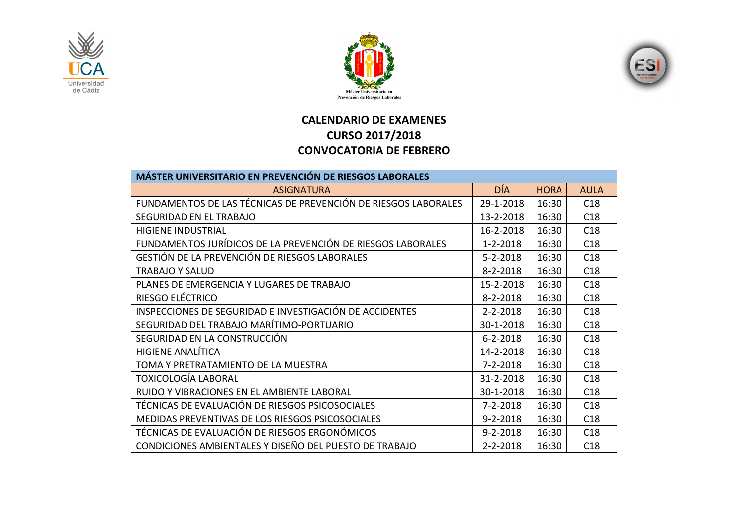





## **CALENDARIO DE EXAMENES CURSO 2017/2018 CONVOCATORIA DE FEBRERO**

| MÁSTER UNIVERSITARIO EN PREVENCIÓN DE RIESGOS LABORALES        |                |             |             |  |  |
|----------------------------------------------------------------|----------------|-------------|-------------|--|--|
| <b>ASIGNATURA</b>                                              | <b>DÍA</b>     | <b>HORA</b> | <b>AULA</b> |  |  |
| FUNDAMENTOS DE LAS TÉCNICAS DE PREVENCIÓN DE RIESGOS LABORALES | 29-1-2018      | 16:30       | C18         |  |  |
| SEGURIDAD EN EL TRABAJO                                        | 13-2-2018      | 16:30       | C18         |  |  |
| <b>HIGIENE INDUSTRIAL</b>                                      | 16-2-2018      | 16:30       | C18         |  |  |
| FUNDAMENTOS JURÍDICOS DE LA PREVENCIÓN DE RIESGOS LABORALES    | $1 - 2 - 2018$ | 16:30       | C18         |  |  |
| GESTIÓN DE LA PREVENCIÓN DE RIESGOS LABORALES                  | $5 - 2 - 2018$ | 16:30       | C18         |  |  |
| <b>TRABAJO Y SALUD</b>                                         | $8 - 2 - 2018$ | 16:30       | C18         |  |  |
| PLANES DE EMERGENCIA Y LUGARES DE TRABAJO                      | 15-2-2018      | 16:30       | C18         |  |  |
| RIESGO ELÉCTRICO                                               | $8 - 2 - 2018$ | 16:30       | C18         |  |  |
| INSPECCIONES DE SEGURIDAD E INVESTIGACIÓN DE ACCIDENTES        | $2 - 2 - 2018$ | 16:30       | C18         |  |  |
| SEGURIDAD DEL TRABAJO MARÍTIMO-PORTUARIO                       | 30-1-2018      | 16:30       | C18         |  |  |
| SEGURIDAD EN LA CONSTRUCCIÓN                                   | $6 - 2 - 2018$ | 16:30       | C18         |  |  |
| <b>HIGIENE ANALÍTICA</b>                                       | 14-2-2018      | 16:30       | C18         |  |  |
| TOMA Y PRETRATAMIENTO DE LA MUESTRA                            | $7 - 2 - 2018$ | 16:30       | C18         |  |  |
| <b>TOXICOLOGÍA LABORAL</b>                                     | 31-2-2018      | 16:30       | C18         |  |  |
| RUIDO Y VIBRACIONES EN EL AMBIENTE LABORAL                     | 30-1-2018      | 16:30       | C18         |  |  |
| TÉCNICAS DE EVALUACIÓN DE RIESGOS PSICOSOCIALES                | $7 - 2 - 2018$ | 16:30       | C18         |  |  |
| MEDIDAS PREVENTIVAS DE LOS RIESGOS PSICOSOCIALES               | $9 - 2 - 2018$ | 16:30       | C18         |  |  |
| TÉCNICAS DE EVALUACIÓN DE RIESGOS ERGONÓMICOS                  | $9 - 2 - 2018$ | 16:30       | C18         |  |  |
| CONDICIONES AMBIENTALES Y DISEÑO DEL PUESTO DE TRABAJO         | $2 - 2 - 2018$ | 16:30       | C18         |  |  |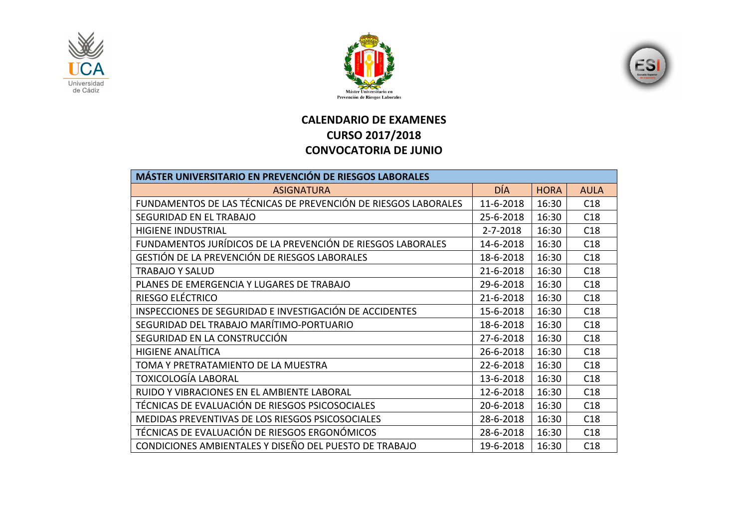





## **CALENDARIO DE EXAMENES CURSO 2017/2018 CONVOCATORIA DE JUNIO**

| <b>MÁSTER UNIVERSITARIO EN PREVENCIÓN DE RIESGOS LABORALES</b> |                |             |             |  |  |
|----------------------------------------------------------------|----------------|-------------|-------------|--|--|
| <b>ASIGNATURA</b>                                              | <b>DÍA</b>     | <b>HORA</b> | <b>AULA</b> |  |  |
| FUNDAMENTOS DE LAS TÉCNICAS DE PREVENCIÓN DE RIESGOS LABORALES | 11-6-2018      | 16:30       | C18         |  |  |
| SEGURIDAD EN EL TRABAJO                                        | 25-6-2018      | 16:30       | C18         |  |  |
| <b>HIGIENE INDUSTRIAL</b>                                      | $2 - 7 - 2018$ | 16:30       | C18         |  |  |
| FUNDAMENTOS JURÍDICOS DE LA PREVENCIÓN DE RIESGOS LABORALES    | 14-6-2018      | 16:30       | C18         |  |  |
| GESTIÓN DE LA PREVENCIÓN DE RIESGOS LABORALES                  | 18-6-2018      | 16:30       | C18         |  |  |
| TRABAJO Y SALUD                                                | 21-6-2018      | 16:30       | C18         |  |  |
| PLANES DE EMERGENCIA Y LUGARES DE TRABAJO                      | 29-6-2018      | 16:30       | C18         |  |  |
| RIESGO ELÉCTRICO                                               | 21-6-2018      | 16:30       | C18         |  |  |
| INSPECCIONES DE SEGURIDAD E INVESTIGACIÓN DE ACCIDENTES        | 15-6-2018      | 16:30       | C18         |  |  |
| SEGURIDAD DEL TRABAJO MARÍTIMO-PORTUARIO                       | 18-6-2018      | 16:30       | C18         |  |  |
| SEGURIDAD EN LA CONSTRUCCIÓN                                   | 27-6-2018      | 16:30       | C18         |  |  |
| <b>HIGIENE ANALÍTICA</b>                                       | 26-6-2018      | 16:30       | C18         |  |  |
| TOMA Y PRETRATAMIENTO DE LA MUESTRA                            | 22-6-2018      | 16:30       | C18         |  |  |
| TOXICOLOGÍA LABORAL                                            | 13-6-2018      | 16:30       | C18         |  |  |
| RUIDO Y VIBRACIONES EN EL AMBIENTE LABORAL                     | 12-6-2018      | 16:30       | C18         |  |  |
| TÉCNICAS DE EVALUACIÓN DE RIESGOS PSICOSOCIALES                | 20-6-2018      | 16:30       | C18         |  |  |
| MEDIDAS PREVENTIVAS DE LOS RIESGOS PSICOSOCIALES               | 28-6-2018      | 16:30       | C18         |  |  |
| TÉCNICAS DE EVALUACIÓN DE RIESGOS ERGONÓMICOS                  | 28-6-2018      | 16:30       | C18         |  |  |
| CONDICIONES AMBIENTALES Y DISEÑO DEL PUESTO DE TRABAJO         | 19-6-2018      | 16:30       | C18         |  |  |